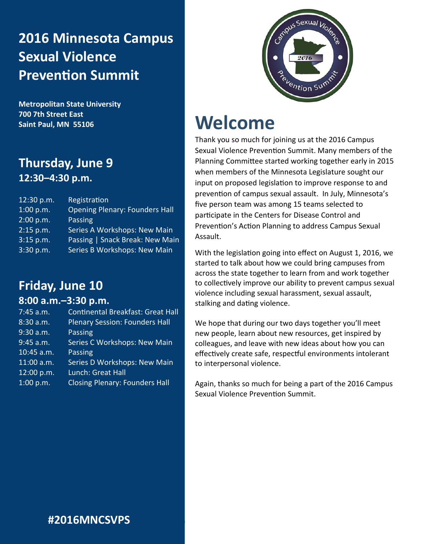# **2016 Minnesota Campus Sexual Violence Prevention Summit**

**Metropolitan State University 700 7th Street East Saint Paul, MN 55106**

# **Thursday, June 9 12:30–4:30 p.m.**

| 12:30 p.m. | Registration                          |
|------------|---------------------------------------|
| 1:00 p.m.  | <b>Opening Plenary: Founders Hall</b> |
| 2:00 p.m.  | Passing                               |
| 2:15 p.m.  | Series A Workshops: New Main          |
| 3:15 p.m.  | Passing   Snack Break: New Main       |
| 3:30 p.m.  | Series B Workshops: New Main          |

# **Friday, June 10**

### **8:00 a.m.–3:30 p.m.**

| <b>Continental Breakfast: Great Hall</b> |
|------------------------------------------|
| <b>Plenary Session: Founders Hall</b>    |
| <b>Passing</b>                           |
| Series C Workshops: New Main             |
| Passing                                  |
| Series D Workshops: New Main             |
| Lunch: Great Hall                        |
| <b>Closing Plenary: Founders Hall</b>    |
|                                          |



# **Welcome**

**#2016MNCSVPS |** 

Thank you so much for joining us at the 2016 Campus Sexual Violence Prevention Summit. Many members of the Planning Committee started working together early in 2015 when members of the Minnesota Legislature sought our input on proposed legislation to improve response to and prevention of campus sexual assault. In July, Minnesota's five person team was among 15 teams selected to participate in the Centers for Disease Control and Prevention's Action Planning to address Campus Sexual Assault.

With the legislation going into effect on August 1, 2016, we started to talk about how we could bring campuses from across the state together to learn from and work together to collectively improve our ability to prevent campus sexual violence including sexual harassment, sexual assault, stalking and dating violence.

We hope that during our two days together you'll meet new people, learn about new resources, get inspired by colleagues, and leave with new ideas about how you can effectively create safe, respectful environments intolerant to interpersonal violence.

Again, thanks so much for being a part of the 2016 Campus Sexual Violence Prevention Summit.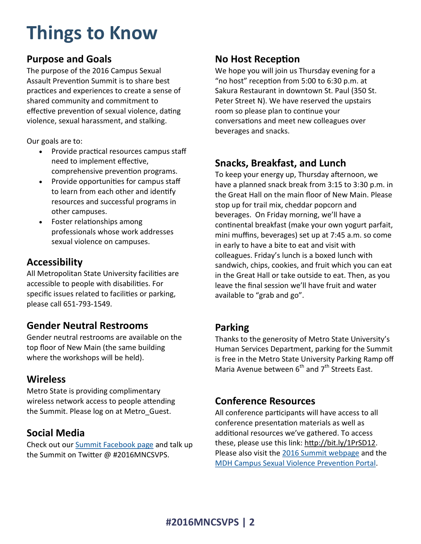# **Things to Know**

## **Purpose and Goals**

The purpose of the 2016 Campus Sexual Assault Prevention Summit is to share best practices and experiences to create a sense of shared community and commitment to effective prevention of sexual violence, dating violence, sexual harassment, and stalking.

Our goals are to:

- Provide practical resources campus staff need to implement effective, comprehensive prevention programs.
- Provide opportunities for campus staff to learn from each other and identify resources and successful programs in other campuses.
- Foster relationships among professionals whose work addresses sexual violence on campuses.

## **Accessibility**

All Metropolitan State University facilities are accessible to people with disabilities. For specific issues related to facilities or parking, please call 651-793-1549.

## **Gender Neutral Restrooms**

Gender neutral restrooms are available on the top floor of New Main (the same building where the workshops will be held).

# **Wireless**

Metro State is providing complimentary wireless network access to people attending the Summit. Please log on at Metro\_Guest.

# **Social Media**

Check out our [Summit Facebook page](https://www.facebook.com/events/224857617896927/) and talk up the Summit on Twitter @ #2016MNCSVPS.

## **No Host Reception**

We hope you will join us Thursday evening for a "no host" reception from 5:00 to 6:30 p.m. at Sakura Restaurant in downtown St. Paul (350 St. Peter Street N). We have reserved the upstairs room so please plan to continue your conversations and meet new colleagues over beverages and snacks.

# **Snacks, Breakfast, and Lunch**

To keep your energy up, Thursday afternoon, we have a planned snack break from 3:15 to 3:30 p.m. in the Great Hall on the main floor of New Main. Please stop up for trail mix, cheddar popcorn and beverages. On Friday morning, we'll have a continental breakfast (make your own yogurt parfait, mini muffins, beverages) set up at 7:45 a.m. so come in early to have a bite to eat and visit with colleagues. Friday's lunch is a boxed lunch with sandwich, chips, cookies, and fruit which you can eat in the Great Hall or take outside to eat. Then, as you leave the final session we'll have fruit and water available to "grab and go".

## **Parking**

Thanks to the generosity of Metro State University's Human Services Department, parking for the Summit is free in the Metro State University Parking Ramp off Maria Avenue between  $6<sup>th</sup>$  and  $7<sup>th</sup>$  Streets East.

# **Conference Resources**

All conference participants will have access to all conference presentation materials as well as additional resources we've gathered. To access these, please use this link: [http://bit.ly/1PrSD12.](http://bit.ly/1PrSD12) Please also visit the [2016 Summit webpage](http://www.health.state.mn.us/divs/healthimprovement/working-together/trainings-conferences/campussummit.html) and the [MDH Campus Sexual Violence Prevention Portal.](http://www.health.state.mn.us/injury/topic/svp/campuskit/)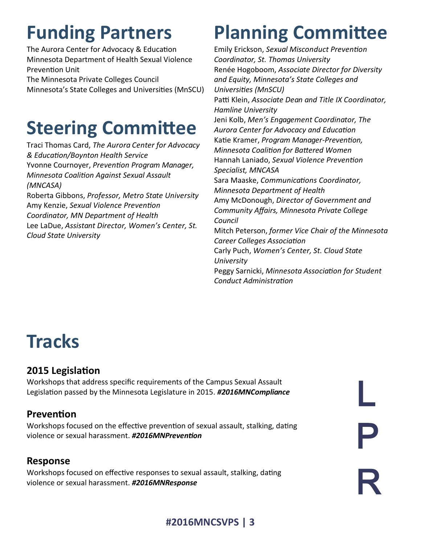# **Funding Partners**

The Aurora Center for Advocacy & Education Minnesota Department of Health Sexual Violence Prevention Unit

The Minnesota Private Colleges Council Minnesota's State Colleges and Universities (MnSCU)

# **Steering Committee**

Traci Thomas Card, *The Aurora Center for Advocacy & Education/Boynton Health Service* Yvonne Cournoyer, *Prevention Program Manager, Minnesota Coalition Against Sexual Assault (MNCASA)* Roberta Gibbons, *Professor, Metro State University* Amy Kenzie, *Sexual Violence Prevention* 

*Coordinator, MN Department of Health* Lee LaDue, *Assistant Director, Women's Center, St. Cloud State University*

# **Planning Committee**

Emily Erickson, *Sexual Misconduct Prevention Coordinator, St. Thomas University* Renée Hogoboom, *Associate Director for Diversity and Equity, Minnesota's State Colleges and Universities (MnSCU)* Patti Klein, *Associate Dean and Title IX Coordinator, Hamline University* Jeni Kolb, *Men's Engagement Coordinator, The Aurora Center for Advocacy and Education* Katie Kramer, *Program Manager-Prevention, Minnesota Coalition for Battered Women* Hannah Laniado, *Sexual Violence Prevention Specialist, MNCASA* Sara Maaske, *Communications Coordinator, Minnesota Department of Health* Amy McDonough, *Director of Government and Community Affairs, Minnesota Private College Council* Mitch Peterson, *former Vice Chair of the Minnesota Career Colleges Association* Carly Puch, *Women's Center, St. Cloud State University* Peggy Sarnicki, *Minnesota Association for Student Conduct Administration*

# **Tracks**

# **2015 Legislation**

Workshops that address specific requirements of the Campus Sexual Assault Legislation passed by the Minnesota Legislature in 2015. *#2016MNCompliance*

# **Prevention**

Workshops focused on the effective prevention of sexual assault, stalking, dating violence or sexual harassment. *#2016MNPrevention*

# **Response**

Workshops focused on effective responses to sexual assault, stalking, dating violence or sexual harassment. *#2016MNResponse*

P R L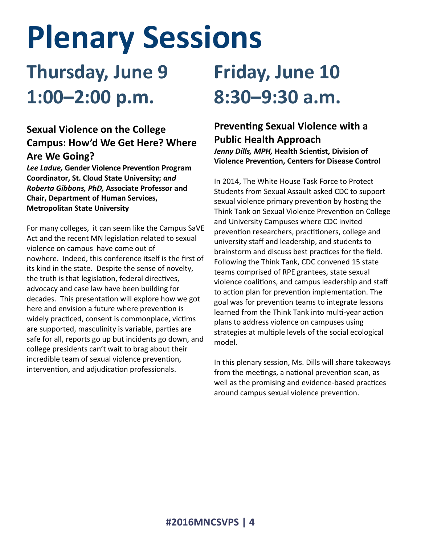# **Plenary Sessions**

# **Thursday, June 9 1:00–2:00 p.m.**

# **Sexual Violence on the College Campus: How'd We Get Here? Where Are We Going?**

*Lee Ladue,* **Gender Violence Prevention Program Coordinator, St. Cloud State University;** *and Roberta Gibbons, PhD,* **Associate Professor and Chair, Department of Human Services, Metropolitan State University**

For many colleges, it can seem like the Campus SaVE Act and the recent MN legislation related to sexual violence on campus have come out of nowhere. Indeed, this conference itself is the first of its kind in the state. Despite the sense of novelty, the truth is that legislation, federal directives, advocacy and case law have been building for decades. This presentation will explore how we got here and envision a future where prevention is widely practiced, consent is commonplace, victims are supported, masculinity is variable, parties are safe for all, reports go up but incidents go down, and college presidents can't wait to brag about their incredible team of sexual violence prevention, intervention, and adjudication professionals.

# **Friday, June 10 8:30–9:30 a.m.**

# **Preventing Sexual Violence with a Public Health Approach**

*Jenny Dills, MPH,* **Health Scientist, Division of Violence Prevention, Centers for Disease Control**

In 2014, The White House Task Force to Protect Students from Sexual Assault asked CDC to support sexual violence primary prevention by hosting the Think Tank on Sexual Violence Prevention on College and University Campuses where CDC invited prevention researchers, practitioners, college and university staff and leadership, and students to brainstorm and discuss best practices for the field. Following the Think Tank, CDC convened 15 state teams comprised of RPE grantees, state sexual violence coalitions, and campus leadership and staff to action plan for prevention implementation. The goal was for prevention teams to integrate lessons learned from the Think Tank into multi-year action plans to address violence on campuses using strategies at multiple levels of the social ecological model.

In this plenary session, Ms. Dills will share takeaways from the meetings, a national prevention scan, as well as the promising and evidence-based practices around campus sexual violence prevention.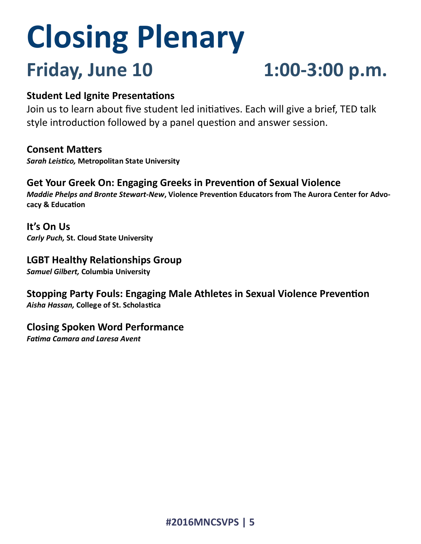# **Closing Plenary Friday, June 10 1:00-3:00 p.m.**

## **Student Led Ignite Presentations**

Join us to learn about five student led initiatives. Each will give a brief, TED talk style introduction followed by a panel question and answer session.

### **Consent Matters**

*Sarah Leistico,* **Metropolitan State University** 

**Get Your Greek On: Engaging Greeks in Prevention of Sexual Violence** *Maddie Phelps and Bronte Stewart-New***, Violence Prevention Educators from The Aurora Center for Advocacy & Education**

**It's On Us** *Carly Puch,* **St. Cloud State University** 

# **LGBT Healthy Relationships Group**

*Samuel Gilbert,* **Columbia University** 

**Stopping Party Fouls: Engaging Male Athletes in Sexual Violence Prevention** *Aisha Hassan,* **College of St. Scholastica** 

### **Closing Spoken Word Performance**

*Fatima Camara and Laresa Avent*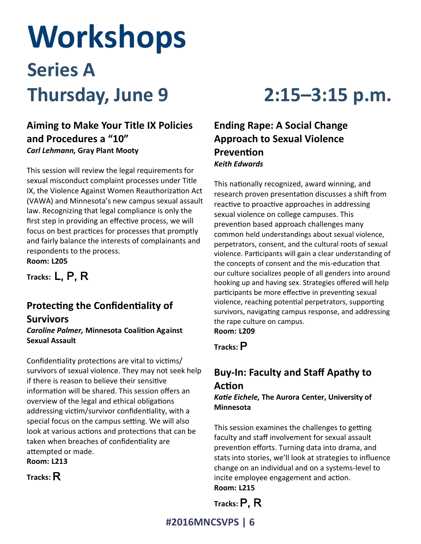# **Workshops Series A Thursday, June 9 2:15–3:15 p.m.**

# **Aiming to Make Your Title IX Policies and Procedures a "10"** *Carl Lehmann,* **Gray Plant Mooty**

This session will review the legal requirements for sexual misconduct complaint processes under Title IX, the Violence Against Women Reauthorization Act (VAWA) and Minnesota's new campus sexual assault law. Recognizing that legal compliance is only the first step in providing an effective process, we will focus on best practices for processes that promptly and fairly balance the interests of complainants and respondents to the process. **Room: L205**

**Tracks:** L, P, R

# **Protecting the Confidentiality of Survivors**

*Caroline Palmer,* **Minnesota Coalition Against Sexual Assault**

Confidentiality protections are vital to victims/ survivors of sexual violence. They may not seek help if there is reason to believe their sensitive information will be shared. This session offers an overview of the legal and ethical obligations addressing victim/survivor confidentiality, with a special focus on the campus setting. We will also look at various actions and protections that can be taken when breaches of confidentiality are attempted or made.

**Room: L213**

**Tracks:** R

# **Ending Rape: A Social Change Approach to Sexual Violence Prevention** *Keith Edwards*

This nationally recognized, award winning, and research proven presentation discusses a shift from reactive to proactive approaches in addressing sexual violence on college campuses. This prevention based approach challenges many common held understandings about sexual violence, perpetrators, consent, and the cultural roots of sexual violence. Participants will gain a clear understanding of the concepts of consent and the mis-education that our culture socializes people of all genders into around hooking up and having sex. Strategies offered will help participants be more effective in preventing sexual violence, reaching potential perpetrators, supporting survivors, navigating campus response, and addressing the rape culture on campus. **Room: L209**

**Tracks:** P

# **Buy-In: Faculty and Staff Apathy to Action**

*Katie Eichele,* **The Aurora Center, University of Minnesota**

This session examines the challenges to getting faculty and staff involvement for sexual assault prevention efforts. Turning data into drama, and stats into stories, we'll look at strategies to influence change on an individual and on a systems-level to incite employee engagement and action. **Room: L215**

**Tracks:** P, R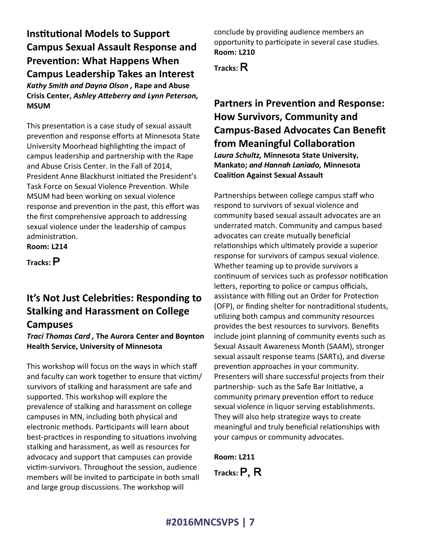**Institutional Models to Support Campus Sexual Assault Response and Prevention: What Happens When Campus Leadership Takes an Interest** *Kathy Smith and Dayna Olson ,* **Rape and Abuse Crisis Center,** *Ashley Atteberry and Lynn Peterson,*  **MSUM**

This presentation is a case study of sexual assault prevention and response efforts at Minnesota State University Moorhead highlighting the impact of campus leadership and partnership with the Rape and Abuse Crisis Center. In the Fall of 2014, President Anne Blackhurst initiated the President's Task Force on Sexual Violence Prevention. While MSUM had been working on sexual violence response and prevention in the past, this effort was the first comprehensive approach to addressing sexual violence under the leadership of campus administration. **Room: L214**

**Tracks:** P

# **It's Not Just Celebrities: Responding to Stalking and Harassment on College Campuses**

*Traci Thomas Card ,* **The Aurora Center and Boynton Health Service, University of Minnesota**

This workshop will focus on the ways in which staff and faculty can work together to ensure that victim/ survivors of stalking and harassment are safe and supported. This workshop will explore the prevalence of stalking and harassment on college campuses in MN, including both physical and electronic methods. Participants will learn about best-practices in responding to situations involving stalking and harassment, as well as resources for advocacy and support that campuses can provide victim-survivors. Throughout the session, audience members will be invited to participate in both small and large group discussions. The workshop will

conclude by providing audience members an opportunity to participate in several case studies. **Room: L210**

**Tracks:** R

# **Partners in Prevention and Response: How Survivors, Community and Campus-Based Advocates Can Benefit from Meaningful Collaboration** *Laura Schultz,* **Minnesota State University,**

**Mankato;** *and Hannah Laniado,* **Minnesota Coalition Against Sexual Assault**

Partnerships between college campus staff who respond to survivors of sexual violence and community based sexual assault advocates are an underrated match. Community and campus based advocates can create mutually beneficial relationships which ultimately provide a superior response for survivors of campus sexual violence. Whether teaming up to provide survivors a continuum of services such as professor notification letters, reporting to police or campus officials, assistance with filling out an Order for Protection (OFP), or finding shelter for nontraditional students, utilizing both campus and community resources provides the best resources to survivors. Benefits include joint planning of community events such as Sexual Assault Awareness Month (SAAM), stronger sexual assault response teams (SARTs), and diverse prevention approaches in your community. Presenters will share successful projects from their partnership- such as the Safe Bar Initiative, a community primary prevention effort to reduce sexual violence in liquor serving establishments. They will also help strategize ways to create meaningful and truly beneficial relationships with your campus or community advocates.

**Room: L211 Tracks:** P, R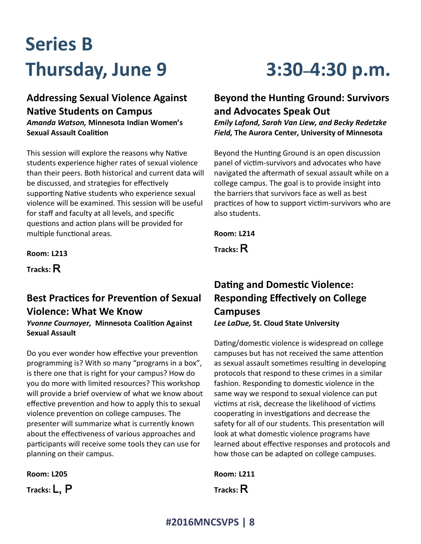# **Series B Thursday, June 9 3:30–4:30 p.m.**

# **Addressing Sexual Violence Against Native Students on Campus**

*Amanda Watson,* **Minnesota Indian Women's Sexual Assault Coalition**

This session will explore the reasons why Native students experience higher rates of sexual violence than their peers. Both historical and current data will be discussed, and strategies for effectively supporting Native students who experience sexual violence will be examined. This session will be useful for staff and faculty at all levels, and specific questions and action plans will be provided for multiple functional areas.

**Room: L213**

**Tracks:** R

# **Best Practices for Prevention of Sexual Violence: What We Know**

*Yvonne Cournoyer,* **Minnesota Coalition Against Sexual Assault**

Do you ever wonder how effective your prevention programming is? With so many "programs in a box", is there one that is right for your campus? How do you do more with limited resources? This workshop will provide a brief overview of what we know about effective prevention and how to apply this to sexual violence prevention on college campuses. The presenter will summarize what is currently known about the effectiveness of various approaches and participants will receive some tools they can use for planning on their campus.

| <b>Room: L205</b> |  |
|-------------------|--|
| Tracks: $L, P$    |  |

## **Beyond the Hunting Ground: Survivors and Advocates Speak Out**

*Emily Lafond, Sarah Van Liew, and Becky Redetzke Field,* **The Aurora Center, University of Minnesota**

Beyond the Hunting Ground is an open discussion panel of victim-survivors and advocates who have navigated the aftermath of sexual assault while on a college campus. The goal is to provide insight into the barriers that survivors face as well as best practices of how to support victim-survivors who are also students.

**Room: L214**

**Tracks:** R

# **Dating and Domestic Violence: Responding Effectively on College Campuses**  *Lee LaDue,* **St. Cloud State University**

Dating/domestic violence is widespread on college campuses but has not received the same attention as sexual assault sometimes resulting in developing protocols that respond to these crimes in a similar fashion. Responding to domestic violence in the same way we respond to sexual violence can put victims at risk, decrease the likelihood of victims cooperating in investigations and decrease the safety for all of our students. This presentation will look at what domestic violence programs have learned about effective responses and protocols and how those can be adapted on college campuses.

**Room: L211 Tracks:** R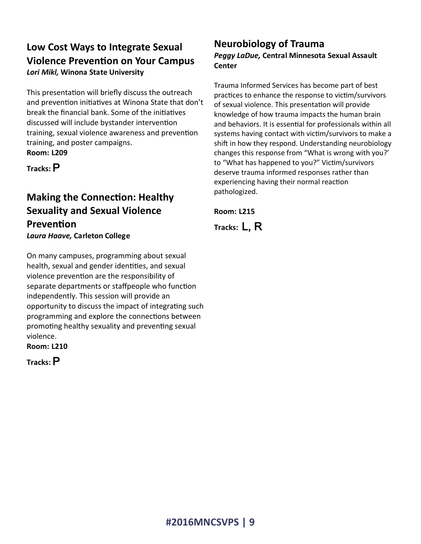## **Low Cost Ways to Integrate Sexual Violence Prevention on Your Campus** *Lori Mikl,* **Winona State University**

This presentation will briefly discuss the outreach and prevention initiatives at Winona State that don't break the financial bank. Some of the initiatives discussed will include bystander intervention training, sexual violence awareness and prevention training, and poster campaigns. **Room: L209**

**Tracks:** P

# **Making the Connection: Healthy Sexuality and Sexual Violence Prevention**

*Laura Haave,* **Carleton College**

On many campuses, programming about sexual health, sexual and gender identities, and sexual violence prevention are the responsibility of separate departments or staffpeople who function independently. This session will provide an opportunity to discuss the impact of integrating such programming and explore the connections between promoting healthy sexuality and preventing sexual violence.

**Room: L210**

**Tracks:** P

### **Neurobiology of Trauma**  *Peggy LaDue,* **Central Minnesota Sexual Assault Center**

Trauma Informed Services has become part of best practices to enhance the response to victim/survivors of sexual violence. This presentation will provide knowledge of how trauma impacts the human brain and behaviors. It is essential for professionals within all systems having contact with victim/survivors to make a shift in how they respond. Understanding neurobiology changes this response from "What is wrong with you?' to "What has happened to you?" Victim/survivors deserve trauma informed responses rather than experiencing having their normal reaction pathologized.

**Room: L215**

**Tracks:** L, R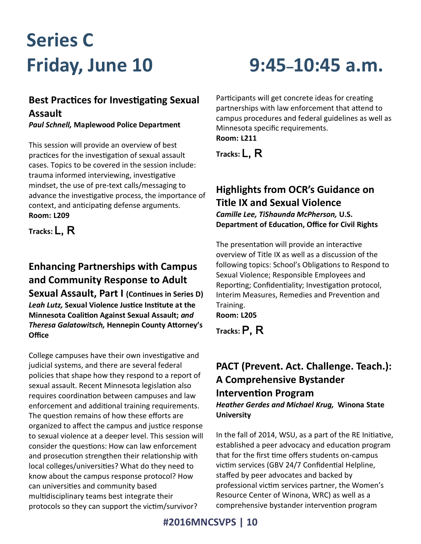# **Series C**

# **Best Practices for Investigating Sexual Assault**

*Paul Schnell,* **Maplewood Police Department**

This session will provide an overview of best practices for the investigation of sexual assault cases. Topics to be covered in the session include: trauma informed interviewing, investigative mindset, the use of pre-text calls/messaging to advance the investigative process, the importance of context, and anticipating defense arguments. **Room: L209**

**Tracks:** L, R

# **Enhancing Partnerships with Campus and Community Response to Adult**

**Sexual Assault, Part I (Continues in Series D)** *Leah Lutz,* **Sexual Violence Justice Institute at the Minnesota Coalition Against Sexual Assault;** *and Theresa Galatowitsch,* **Hennepin County Attorney's Office**

College campuses have their own investigative and judicial systems, and there are several federal policies that shape how they respond to a report of sexual assault. Recent Minnesota legislation also requires coordination between campuses and law enforcement and additional training requirements. The question remains of how these efforts are organized to affect the campus and justice response to sexual violence at a deeper level. This session will consider the questions: How can law enforcement and prosecution strengthen their relationship with local colleges/universities? What do they need to know about the campus response protocol? How can universities and community based multidisciplinary teams best integrate their protocols so they can support the victim/survivor?

# **Friday, June 10 9:45–10:45 a.m.**

Participants will get concrete ideas for creating partnerships with law enforcement that attend to campus procedures and federal guidelines as well as Minnesota specific requirements. **Room: L211**

**Tracks:** L, R

## **Highlights from OCR's Guidance on Title IX and Sexual Violence** *Camille Lee, TiShaunda McPherson,* **U.S. Department of Education, Office for Civil Rights**

The presentation will provide an interactive overview of Title IX as well as a discussion of the following topics: School's Obligations to Respond to Sexual Violence; Responsible Employees and Reporting; Confidentiality; Investigation protocol, Interim Measures, Remedies and Prevention and Training.

**Room: L205**

**Tracks:** P, R

# **PACT (Prevent. Act. Challenge. Teach.): A Comprehensive Bystander Intervention Program**

*Heather Gerdes and Michael Krug,* **Winona State University**

In the fall of 2014, WSU, as a part of the RE Initiative, established a peer advocacy and education program that for the first time offers students on-campus victim services (GBV 24/7 Confidential Helpline, staffed by peer advocates and backed by professional victim services partner, the Women's Resource Center of Winona, WRC) as well as a comprehensive bystander intervention program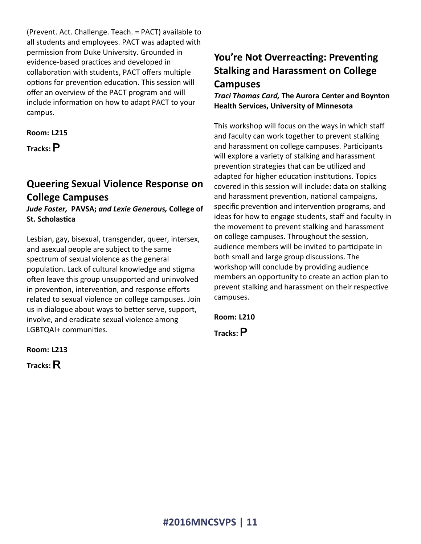(Prevent. Act. Challenge. Teach. = PACT) available to all students and employees. PACT was adapted with permission from Duke University. Grounded in evidence-based practices and developed in collaboration with students, PACT offers multiple options for prevention education. This session will offer an overview of the PACT program and will include information on how to adapt PACT to your campus.

### **Room: L215**

**Tracks:** P

# **Queering Sexual Violence Response on College Campuses**

*Jude Foster,* **PAVSA;** *and Lexie Generous,* **College of St. Scholastica**

Lesbian, gay, bisexual, transgender, queer, intersex, and asexual people are subject to the same spectrum of sexual violence as the general population. Lack of cultural knowledge and stigma often leave this group unsupported and uninvolved in prevention, intervention, and response efforts related to sexual violence on college campuses. Join us in dialogue about ways to better serve, support, involve, and eradicate sexual violence among LGBTQAI+ communities.

# **You're Not Overreacting: Preventing Stalking and Harassment on College Campuses**

*Traci Thomas Card,* **The Aurora Center and Boynton Health Services, University of Minnesota**

This workshop will focus on the ways in which staff and faculty can work together to prevent stalking and harassment on college campuses. Participants will explore a variety of stalking and harassment prevention strategies that can be utilized and adapted for higher education institutions. Topics covered in this session will include: data on stalking and harassment prevention, national campaigns, specific prevention and intervention programs, and ideas for how to engage students, staff and faculty in the movement to prevent stalking and harassment on college campuses. Throughout the session, audience members will be invited to participate in both small and large group discussions. The workshop will conclude by providing audience members an opportunity to create an action plan to prevent stalking and harassment on their respective campuses.

**Room: L210**

**Tracks:** P

**Room: L213**

**Tracks:** R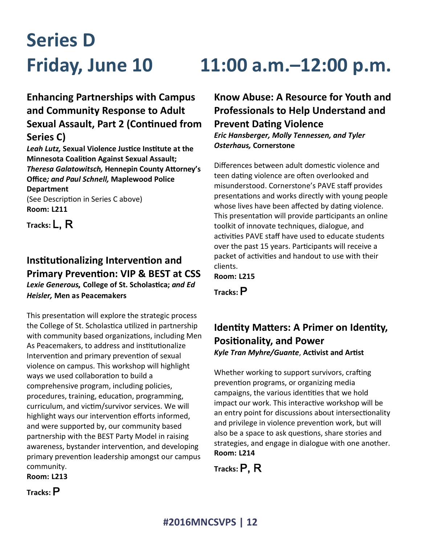# **Series D**

# **Enhancing Partnerships with Campus and Community Response to Adult Sexual Assault, Part 2 (Continued from Series C)**

*Leah Lutz,* **Sexual Violence Justice Institute at the Minnesota Coalition Against Sexual Assault;**  *Theresa Galatowitsch,* **Hennepin County Attorney's Office***; and Paul Schnell,* **Maplewood Police Department**

(See Description in Series C above) **Room: L211**

**Tracks:** L, R

## **Institutionalizing Intervention and Primary Prevention: VIP & BEST at CSS** *Lexie Generous,* **College of St. Scholastica;** *and Ed Heisler,* **Men as Peacemakers**

This presentation will explore the strategic process the College of St. Scholastica utilized in partnership with community based organizations, including Men As Peacemakers, to address and institutionalize Intervention and primary prevention of sexual violence on campus. This workshop will highlight ways we used collaboration to build a comprehensive program, including policies, procedures, training, education, programming, curriculum, and victim/survivor services. We will highlight ways our intervention efforts informed, and were supported by, our community based partnership with the BEST Party Model in raising awareness, bystander intervention, and developing primary prevention leadership amongst our campus community. **Room: L213**

# **Friday, June 10 11:00 a.m.–12:00 p.m.**

**Know Abuse: A Resource for Youth and Professionals to Help Understand and Prevent Dating Violence** *Eric Hansberger, Molly Tennessen, and Tyler Osterhaus,* **Cornerstone**

Differences between adult domestic violence and teen dating violence are often overlooked and misunderstood. Cornerstone's PAVE staff provides presentations and works directly with young people whose lives have been affected by dating violence. This presentation will provide participants an online toolkit of innovate techniques, dialogue, and activities PAVE staff have used to educate students over the past 15 years. Participants will receive a packet of activities and handout to use with their clients.

**Room: L215**

**Tracks:** P

## **Identity Matters: A Primer on Identity, Positionality, and Power** *Kyle Tran Myhre/Guante*, **Activist and Artist**

Whether working to support survivors, crafting prevention programs, or organizing media campaigns, the various identities that we hold impact our work. This interactive workshop will be an entry point for discussions about intersectionality and privilege in violence prevention work, but will also be a space to ask questions, share stories and strategies, and engage in dialogue with one another. **Room: L214**

**Tracks:** P, R

**Tracks:** P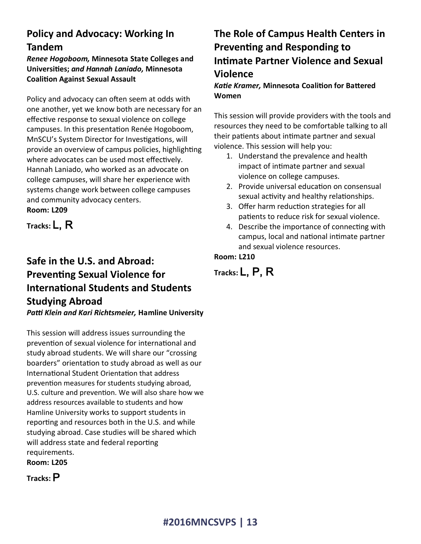# **Policy and Advocacy: Working In Tandem**

*Renee Hogoboom,* **Minnesota State Colleges and Universities;** *and Hannah Laniado,* **Minnesota Coalition Against Sexual Assault**

Policy and advocacy can often seem at odds with one another, yet we know both are necessary for an effective response to sexual violence on college campuses. In this presentation Renée Hogoboom, MnSCU's System Director for Investigations, will provide an overview of campus policies, highlighting where advocates can be used most effectively. Hannah Laniado, who worked as an advocate on college campuses, will share her experience with systems change work between college campuses and community advocacy centers. **Room: L209**

**Tracks:** L, R

# **Safe in the U.S. and Abroad: Preventing Sexual Violence for International Students and Students Studying Abroad**

*Patti Klein and Kari Richtsmeier,* **Hamline University**

This session will address issues surrounding the prevention of sexual violence for international and study abroad students. We will share our "crossing boarders" orientation to study abroad as well as our International Student Orientation that address prevention measures for students studying abroad, U.S. culture and prevention. We will also share how we address resources available to students and how Hamline University works to support students in reporting and resources both in the U.S. and while studying abroad. Case studies will be shared which will address state and federal reporting requirements. **Room: L205**

**Tracks:** P

# **The Role of Campus Health Centers in Preventing and Responding to Intimate Partner Violence and Sexual Violence**

*Katie Kramer,* **Minnesota Coalition for Battered Women**

This session will provide providers with the tools and resources they need to be comfortable talking to all their patients about intimate partner and sexual violence. This session will help you:

- 1. Understand the prevalence and health impact of intimate partner and sexual violence on college campuses.
- 2. Provide universal education on consensual sexual activity and healthy relationships.
- 3. Offer harm reduction strategies for all patients to reduce risk for sexual violence.
- 4. Describe the importance of connecting with campus, local and national intimate partner and sexual violence resources.

### **Room: L210**

**Tracks:** L, P, R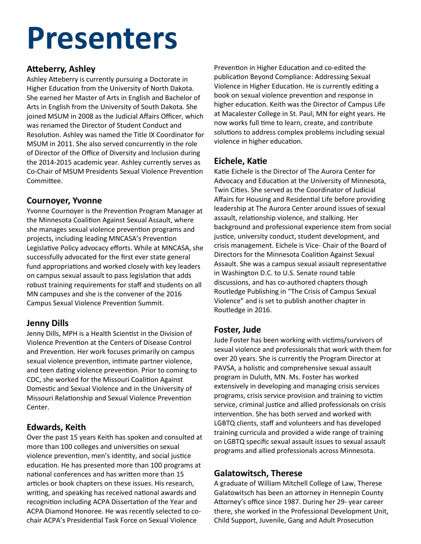# **Presenters**

### **Atteberry, Ashley**

Ashley Atteberry is currently pursuing a Doctorate in Higher Education from the University of North Dakota. She earned her Master of Arts in English and Bachelor of Arts in English from the University of South Dakota. She joined MSUM in 2008 as the Judicial Affairs Officer, which was renamed the Director of Student Conduct and Resolution. Ashley was named the Title IX Coordinator for MSUM in 2011. She also served concurrently in the role of Director of the Office of Diversity and Inclusion during the 2014-2015 academic year. Ashley currently serves as Co-Chair of MSUM Presidents Sexual Violence Prevention Committee.

### **Cournoyer, Yvonne**

Yvonne Cournoyer is the Prevention Program Manager at the Minnesota Coalition Against Sexual Assault, where she manages sexual violence prevention programs and projects, including leading MNCASA's Prevention Legislative Policy advocacy efforts. While at MNCASA, she successfully advocated for the first ever state general fund appropriations and worked closely with key leaders on campus sexual assault to pass legislation that adds robust training requirements for staff and students on all MN campuses and she is the convener of the 2016 Campus Sexual Violence Prevention Summit.

### **Jenny Dills**

Jenny Dills, MPH is a Health Scientist in the Division of Violence Prevention at the Centers of Disease Control and Prevention. Her work focuses primarily on campus sexual violence prevention, intimate partner violence, and teen dating violence prevention. Prior to coming to CDC, she worked for the Missouri Coalition Against Domestic and Sexual Violence and in the University of Missouri Relationship and Sexual Violence Prevention Center.

### **Edwards, Keith**

Over the past 15 years Keith has spoken and consulted at more than 100 colleges and universities on sexual violence prevention, men's identity, and social justice education. He has presented more than 100 programs at national conferences and has written more than 15 articles or book chapters on these issues. His research, writing, and speaking has received national awards and recognition including ACPA Dissertation of the Year and ACPA Diamond Honoree. He was recently selected to cochair ACPA's Presidential Task Force on Sexual Violence

Prevention in Higher Education and co-edited the publication Beyond Compliance: Addressing Sexual Violence in Higher Education. He is currently editing a book on sexual violence prevention and response in higher education. Keith was the Director of Campus Life at Macalester College in St. Paul, MN for eight years. He now works full time to learn, create, and contribute solutions to address complex problems including sexual violence in higher education.

### **Eichele, Katie**

Katie Eichele is the Director of The Aurora Center for Advocacy and Education at the University of Minnesota, Twin Cities. She served as the Coordinator of Judicial Affairs for Housing and Residential Life before providing leadership at The Aurora Center around issues of sexual assault, relationship violence, and stalking. Her background and professional experience stem from social justice, university conduct, student development, and crisis management. Eichele is Vice- Chair of the Board of Directors for the Minnesota Coalition Against Sexual Assault. She was a campus sexual assault representative in Washington D.C. to U.S. Senate round table discussions, and has co-authored chapters though Routledge Publishing in "The Crisis of Campus Sexual Violence" and is set to publish another chapter in Routledge in 2016.

### **Foster, Jude**

Jude Foster has been working with victims/survivors of sexual violence and professionals that work with them for over 20 years. She is currently the Program Director at PAVSA, a holistic and comprehensive sexual assault program in Duluth, MN. Ms. Foster has worked extensively in developing and managing crisis services programs, crisis service provision and training to victim service, criminal justice and allied professionals on crisis intervention. She has both served and worked with LGBTQ clients, staff and volunteers and has developed training curricula and provided a wide range of training on LGBTQ specific sexual assault issues to sexual assault programs and allied professionals across Minnesota.

### **Galatowitsch, Therese**

al Violence **Child Support, Juvenile, Gang and Adult Prosecution** A graduate of William Mitchell College of Law, Therese Galatowitsch has been an attorney in Hennepin County Attorney's office since 1987. During her 29- year career there, she worked in the Professional Development Unit,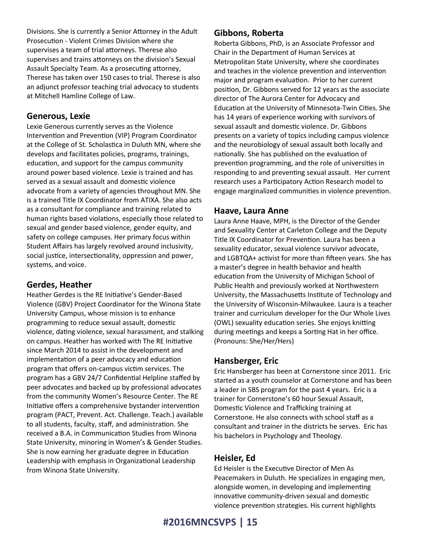Divisions. She is currently a Senior Attorney in the Adult Prosecution - Violent Crimes Division where she supervises a team of trial attorneys. Therese also supervises and trains attorneys on the division's Sexual Assault Specialty Team. As a prosecuting attorney, Therese has taken over 150 cases to trial. Therese is also an adjunct professor teaching trial advocacy to students at Mitchell Hamline College of Law.

### **Generous, Lexie**

Lexie Generous currently serves as the Violence Intervention and Prevention (VIP) Program Coordinator at the College of St. Scholastica in Duluth MN, where she develops and facilitates policies, programs, trainings, education, and support for the campus community around power based violence. Lexie is trained and has served as a sexual assault and domestic violence advocate from a variety of agencies throughout MN. She is a trained Title IX Coordinator from ATIXA. She also acts as a consultant for compliance and training related to human rights based violations, especially those related to sexual and gender based violence, gender equity, and safety on college campuses. Her primary focus within Student Affairs has largely revolved around inclusivity, social justice, intersectionality, oppression and power, systems, and voice.

### **Gerdes, Heather**

Heather Gerdes is the RE Initiative's Gender-Based Violence (GBV) Project Coordinator for the Winona State University Campus, whose mission is to enhance programming to reduce sexual assault, domestic violence, dating violence, sexual harassment, and stalking on campus. Heather has worked with The RE Initiative since March 2014 to assist in the development and implementation of a peer advocacy and education program that offers on-campus victim services. The program has a GBV 24/7 Confidential Helpline staffed by peer advocates and backed up by professional advocates from the community Women's Resource Center. The RE Initiative offers a comprehensive bystander intervention program (PACT, Prevent. Act. Challenge. Teach.) available to all students, faculty, staff, and administration. She received a B.A. in Communication Studies from Winona State University, minoring in Women's & Gender Studies. She is now earning her graduate degree in Education Leadership with emphasis in Organizational Leadership from Winona State University.

### **Gibbons, Roberta**

Roberta Gibbons, PhD, is an Associate Professor and Chair in the Department of Human Services at Metropolitan State University, where she coordinates and teaches in the violence prevention and intervention major and program evaluation. Prior to her current position, Dr. Gibbons served for 12 years as the associate director of The Aurora Center for Advocacy and Education at the University of Minnesota-Twin Cities. She has 14 years of experience working with survivors of sexual assault and domestic violence. Dr. Gibbons presents on a variety of topics including campus violence and the neurobiology of sexual assault both locally and nationally. She has published on the evaluation of prevention programming, and the role of universities in responding to and preventing sexual assault. Her current research uses a Participatory Action Research model to engage marginalized communities in violence prevention.

### **Haave, Laura Anne**

Laura Anne Haave, MPH, is the Director of the Gender and Sexuality Center at Carleton College and the Deputy Title IX Coordinator for Prevention. Laura has been a sexuality educator, sexual violence survivor advocate, and LGBTQA+ activist for more than fifteen years. She has a master's degree in health behavior and health education from the University of Michigan School of Public Health and previously worked at Northwestern University, the Massachusetts Institute of Technology and the University of Wisconsin-Milwaukee. Laura is a teacher trainer and curriculum developer for the Our Whole Lives (OWL) sexuality education series. She enjoys knitting during meetings and keeps a Sorting Hat in her office. (Pronouns: She/Her/Hers)

### **Hansberger, Eric**

Eric Hansberger has been at Cornerstone since 2011. Eric started as a youth counselor at Cornerstone and has been a leader in SBS program for the past 4 years. Eric is a trainer for Cornerstone's 60 hour Sexual Assault, Domestic Violence and Trafficking training at Cornerstone. He also connects with school staff as a consultant and trainer in the districts he serves. Eric has his bachelors in Psychology and Theology.

### **Heisler, Ed**

Ed Heisler is the Executive Director of Men As Peacemakers in Duluth. He specializes in engaging men, alongside women, in developing and implementing innovative community-driven sexual and domestic violence prevention strategies. His current highlights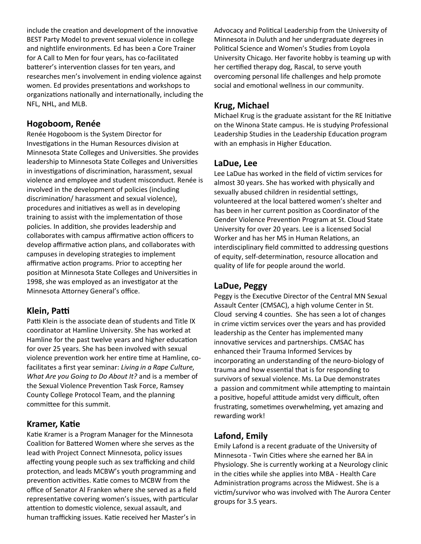include the creation and development of the innovative BEST Party Model to prevent sexual violence in college and nightlife environments. Ed has been a Core Trainer for A Call to Men for four years, has co-facilitated batterer's intervention classes for ten years, and researches men's involvement in ending violence against women. Ed provides presentations and workshops to organizations nationally and internationally, including the NFL, NHL, and MLB.

### **Hogoboom, Renée**

Renée Hogoboom is the System Director for Investigations in the Human Resources division at Minnesota State Colleges and Universities. She provides leadership to Minnesota State Colleges and Universities in investigations of discrimination, harassment, sexual violence and employee and student misconduct. Renée is involved in the development of policies (including discrimination/ harassment and sexual violence), procedures and initiatives as well as in developing training to assist with the implementation of those policies. In addition, she provides leadership and collaborates with campus affirmative action officers to develop affirmative action plans, and collaborates with campuses in developing strategies to implement affirmative action programs. Prior to accepting her position at Minnesota State Colleges and Universities in 1998, she was employed as an investigator at the Minnesota Attorney General's office.

### **Klein, Patti**

Patti Klein is the associate dean of students and Title IX coordinator at Hamline University. She has worked at Hamline for the past twelve years and higher education for over 25 years. She has been involved with sexual violence prevention work her entire time at Hamline, cofacilitates a first year seminar: *Living in a Rape Culture, What Are you Going to Do About It?* and is a member of the Sexual Violence Prevention Task Force, Ramsey County College Protocol Team, and the planning committee for this summit.

### **Kramer, Katie**

**#2016MNCSVPS | 16** human trafficking issues. Katie received her Master's in Katie Kramer is a Program Manager for the Minnesota Coalition for Battered Women where she serves as the lead with Project Connect Minnesota, policy issues affecting young people such as sex trafficking and child protection, and leads MCBW's youth programming and prevention activities. Katie comes to MCBW from the office of Senator Al Franken where she served as a field representative covering women's issues, with particular attention to domestic violence, sexual assault, and

Advocacy and Political Leadership from the University of Minnesota in Duluth and her undergraduate degrees in Political Science and Women's Studies from Loyola University Chicago. Her favorite hobby is teaming up with her certified therapy dog, Rascal, to serve youth overcoming personal life challenges and help promote social and emotional wellness in our community.

### **Krug, Michael**

Michael Krug is the graduate assistant for the RE Initiative on the Winona State campus. He is studying Professional Leadership Studies in the Leadership Education program with an emphasis in Higher Education.

### **LaDue, Lee**

Lee LaDue has worked in the field of victim services for almost 30 years. She has worked with physically and sexually abused children in residential settings, volunteered at the local battered women's shelter and has been in her current position as Coordinator of the Gender Violence Prevention Program at St. Cloud State University for over 20 years. Lee is a licensed Social Worker and has her MS in Human Relations, an interdisciplinary field committed to addressing questions of equity, self-determination, resource allocation and quality of life for people around the world.

### **LaDue, Peggy**

Peggy is the Executive Director of the Central MN Sexual Assault Center (CMSAC), a high volume Center in St. Cloud serving 4 counties. She has seen a lot of changes in crime victim services over the years and has provided leadership as the Center has implemented many innovative services and partnerships. CMSAC has enhanced their Trauma Informed Services by incorporating an understanding of the neuro-biology of trauma and how essential that is for responding to survivors of sexual violence. Ms. La Due demonstrates a passion and commitment while attempting to maintain a positive, hopeful attitude amidst very difficult, often frustrating, sometimes overwhelming, yet amazing and rewarding work!

### **Lafond, Emily**

Emily Lafond is a recent graduate of the University of Minnesota - Twin Cities where she earned her BA in Physiology. She is currently working at a Neurology clinic in the cities while she applies into MBA - Health Care Administration programs across the Midwest. She is a victim/survivor who was involved with The Aurora Center groups for 3.5 years.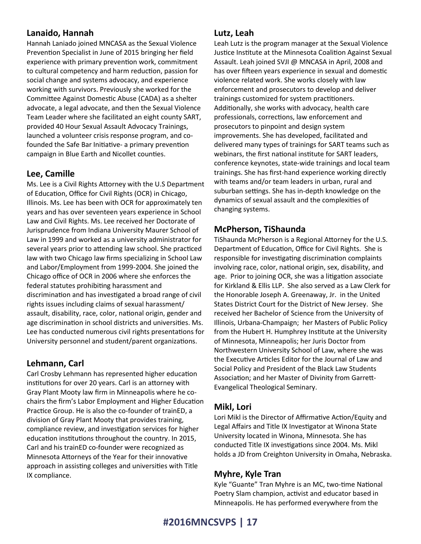### **Lanaido, Hannah**

Hannah Laniado joined MNCASA as the Sexual Violence Prevention Specialist in June of 2015 bringing her field experience with primary prevention work, commitment to cultural competency and harm reduction, passion for social change and systems advocacy, and experience working with survivors. Previously she worked for the Committee Against Domestic Abuse (CADA) as a shelter advocate, a legal advocate, and then the Sexual Violence Team Leader where she facilitated an eight county SART, provided 40 Hour Sexual Assault Advocacy Trainings, launched a volunteer crisis response program, and cofounded the Safe Bar Initiative- a primary prevention campaign in Blue Earth and Nicollet counties.

### **Lee, Camille**

Ms. Lee is a Civil Rights Attorney with the U.S Department of Education, Office for Civil Rights (OCR) in Chicago, Illinois. Ms. Lee has been with OCR for approximately ten years and has over seventeen years experience in School Law and Civil Rights. Ms. Lee received her Doctorate of Jurisprudence from Indiana University Maurer School of Law in 1999 and worked as a university administrator for several years prior to attending law school. She practiced law with two Chicago law firms specializing in School Law and Labor/Employment from 1999-2004. She joined the Chicago office of OCR in 2006 where she enforces the federal statutes prohibiting harassment and discrimination and has investigated a broad range of civil rights issues including claims of sexual harassment/ assault, disability, race, color, national origin, gender and age discrimination in school districts and universities. Ms. Lee has conducted numerous civil rights presentations for University personnel and student/parent organizations.

### **Lehmann, Carl**

Carl Crosby Lehmann has represented higher education institutions for over 20 years. Carl is an attorney with Gray Plant Mooty law firm in Minneapolis where he cochairs the firm's Labor Employment and Higher Education Practice Group. He is also the co-founder of trainED, a division of Gray Plant Mooty that provides training, compliance review, and investigation services for higher education institutions throughout the country. In 2015, Carl and his trainED co-founder were recognized as Minnesota Attorneys of the Year for their innovative approach in assisting colleges and universities with Title IX compliance.

### **Lutz, Leah**

Leah Lutz is the program manager at the Sexual Violence Justice Institute at the Minnesota Coalition Against Sexual Assault. Leah joined SVJI @ MNCASA in April, 2008 and has over fifteen years experience in sexual and domestic violence related work. She works closely with law enforcement and prosecutors to develop and deliver trainings customized for system practitioners. Additionally, she works with advocacy, health care professionals, corrections, law enforcement and prosecutors to pinpoint and design system improvements. She has developed, facilitated and delivered many types of trainings for SART teams such as webinars, the first national institute for SART leaders, conference keynotes, state-wide trainings and local team trainings. She has first-hand experience working directly with teams and/or team leaders in urban, rural and suburban settings. She has in-depth knowledge on the dynamics of sexual assault and the complexities of changing systems.

### **McPherson, TiShaunda**

TiShaunda McPherson is a Regional Attorney for the U.S. Department of Education, Office for Civil Rights. She is responsible for investigating discrimination complaints involving race, color, national origin, sex, disability, and age. Prior to joining OCR, she was a litigation associate for Kirkland & Ellis LLP. She also served as a Law Clerk for the Honorable Joseph A. Greenaway, Jr. in the United States District Court for the District of New Jersey. She received her Bachelor of Science from the University of Illinois, Urbana-Champaign; her Masters of Public Policy from the Hubert H. Humphrey Institute at the University of Minnesota, Minneapolis; her Juris Doctor from Northwestern University School of Law, where she was the Executive Articles Editor for the Journal of Law and Social Policy and President of the Black Law Students Association; and her Master of Divinity from Garrett-Evangelical Theological Seminary.

### **Mikl, Lori**

Lori Mikl is the Director of Affirmative Action/Equity and Legal Affairs and Title IX Investigator at Winona State University located in Winona, Minnesota. She has conducted Title IX investigations since 2004. Ms. Mikl holds a JD from Creighton University in Omaha, Nebraska.

### **Myhre, Kyle Tran**

Kyle "Guante" Tran Myhre is an MC, two-time National Poetry Slam champion, activist and educator based in Minneapolis. He has performed everywhere from the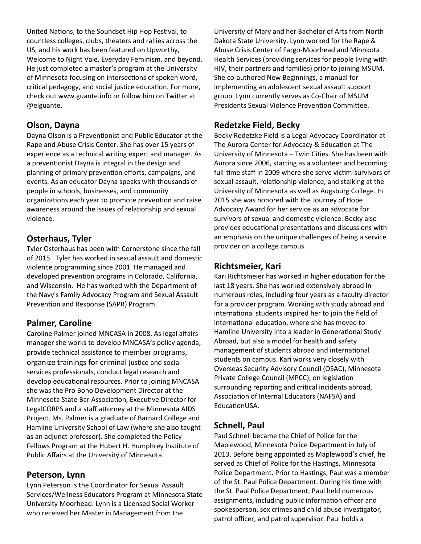United Nations, to the Soundset Hip Hop Festival, to countless colleges, clubs, theaters and rallies across the US, and his work has been featured on Upworthy, Welcome to Night Vale, Everyday Feminism, and beyond. He just completed a master's program at the University of Minnesota focusing on intersections of spoken word, critical pedagogy, and social justice education. For more, check out www.guante.info or follow him on Twitter at @elguante.

### **Olson, Dayna**

Dayna Olson is a Preventionist and Public Educator at the Rape and Abuse Crisis Center. She has over 15 years of experience as a technical writing expert and manager. As a preventionist Dayna is integral in the design and planning of primary prevention efforts, campaigns, and events. As an educator Dayna speaks with thousands of people in schools, businesses, and community organizations each year to promote prevention and raise awareness around the issues of relationship and sexual violence.

### **Osterhaus, Tyler**

Tyler Osterhaus has been with Cornerstone since the fall of 2015. Tyler has worked in sexual assault and domestic violence programming since 2001. He managed and developed prevention programs in Colorado, California, and Wisconsin. He has worked with the Department of the Navy's Family Advocacy Program and Sexual Assault Prevention and Response (SAPR) Program.

### **Palmer, Caroline**

Caroline Palmer joined MNCASA in 2008. As legal affairs manager she works to develop MNCASA's policy agenda, provide technical assistance to member programs, organize trainings for criminal justice and social services professionals, conduct legal research and develop educational resources. Prior to joining MNCASA she was the Pro Bono Development Director at the Minnesota State Bar Association, Executive Director for LegalCORPS and a staff attorney at the Minnesota AIDS Project. Ms. Palmer is a graduate of Barnard College and Hamline University School of Law (where she also taught as an adjunct professor). She completed the Policy Fellows Program at the Hubert H. Humphrey Institute of Public Affairs at the University of Minnesota.

### **Peterson, Lynn**

Lynn Peterson is the Coordinator for Sexual Assault Services/Wellness Educators Program at Minnesota State University Moorhead. Lynn is a Licensed Social Worker who received her Master in Management from the

University of Mary and her Bachelor of Arts from North Dakota State University. Lynn worked for the Rape & Abuse Crisis Center of Fargo-Moorhead and Minnkota Health Services (providing services for people living with HIV, their partners and families) prior to joining MSUM. She co-authored New Beginnings, a manual for implementing an adolescent sexual assault support group. Lynn currently serves as Co-Chair of MSUM Presidents Sexual Violence Prevention Committee.

### **Redetzke Field, Becky**

Becky Redetzke Field is a Legal Advocacy Coordinator at The Aurora Center for Advocacy & Education at The University of Minnesota – Twin Cities. She has been with Aurora since 2006, starting as a volunteer and becoming full-time staff in 2009 where she serve victim-survivors of sexual assault, relationship violence, and stalking at the University of Minnesota as well as Augsburg College. In 2015 she was honored with the Journey of Hope Advocacy Award for her service as an advocate for survivors of sexual and domestic violence. Becky also provides educational presentations and discussions with an emphasis on the unique challenges of being a service provider on a college campus.

### **Richtsmeier, Kari**

Kari Richtsmeier has worked in higher education for the last 18 years. She has worked extensively abroad in numerous roles, including four years as a faculty director for a provider program. Working with study abroad and international students inspired her to join the field of international education, where she has moved to Hamline University into a leader in Generational Study Abroad, but also a model for health and safety management of students abroad and international students on campus. Kari works very closely with Overseas Security Advisory Council (OSAC), Minnesota Private College Council (MPCC), on legislation surrounding reporting and critical incidents abroad, Association of Internal Educators (NAFSA) and EducationUSA.

### **Schnell, Paul**

patrol officer, and patrol supervisor. Paul holds a Paul Schnell became the Chief of Police for the Maplewood, Minnesota Police Department in July of 2013. Before being appointed as Maplewood's chief, he served as Chief of Police for the Hastings, Minnesota Police Department. Prior to Hastings, Paul was a member of the St. Paul Police Department. During his time with the St. Paul Police Department, Paul held numerous assignments, including public information officer and spokesperson, sex crimes and child abuse investigator,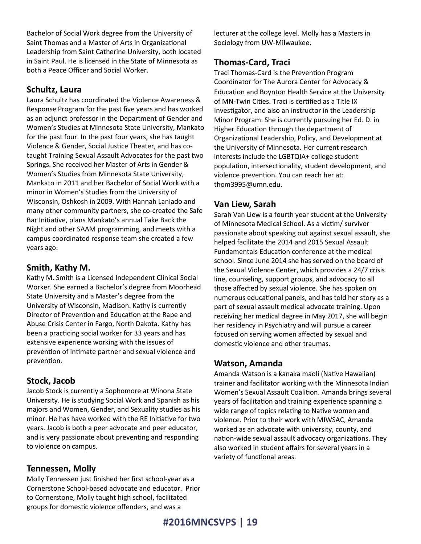Bachelor of Social Work degree from the University of Saint Thomas and a Master of Arts in Organizational Leadership from Saint Catherine University, both located in Saint Paul. He is licensed in the State of Minnesota as both a Peace Officer and Social Worker.

### **Schultz, Laura**

Laura Schultz has coordinated the Violence Awareness & Response Program for the past five years and has worked as an adjunct professor in the Department of Gender and Women's Studies at Minnesota State University, Mankato for the past four. In the past four years, she has taught Violence & Gender, Social Justice Theater, and has cotaught Training Sexual Assault Advocates for the past two Springs. She received her Master of Arts in Gender & Women's Studies from Minnesota State University, Mankato in 2011 and her Bachelor of Social Work with a minor in Women's Studies from the University of Wisconsin, Oshkosh in 2009. With Hannah Laniado and many other community partners, she co-created the Safe Bar Initiative, plans Mankato's annual Take Back the Night and other SAAM programming, and meets with a campus coordinated response team she created a few years ago.

### **Smith, Kathy M.**

Kathy M. Smith is a Licensed Independent Clinical Social Worker. She earned a Bachelor's degree from Moorhead State University and a Master's degree from the University of Wisconsin, Madison. Kathy is currently Director of Prevention and Education at the Rape and Abuse Crisis Center in Fargo, North Dakota. Kathy has been a practicing social worker for 33 years and has extensive experience working with the issues of prevention of intimate partner and sexual violence and prevention.

### **Stock, Jacob**

Jacob Stock is currently a Sophomore at Winona State University. He is studying Social Work and Spanish as his majors and Women, Gender, and Sexuality studies as his minor. He has have worked with the RE Initiative for two years. Jacob is both a peer advocate and peer educator, and is very passionate about preventing and responding to violence on campus.

### **Tennessen, Molly**

Molly Tennessen just finished her first school-year as a Cornerstone School-based advocate and educator. Prior to Cornerstone, Molly taught high school, facilitated groups for domestic violence offenders, and was a

lecturer at the college level. Molly has a Masters in Sociology from UW-Milwaukee.

### **Thomas-Card, Traci**

Traci Thomas-Card is the Prevention Program Coordinator for The Aurora Center for Advocacy & Education and Boynton Health Service at the University of MN-Twin Cities. Traci is certified as a Title IX Investigator, and also an instructor in the Leadership Minor Program. She is currently pursuing her Ed. D. in Higher Education through the department of Organizational Leadership, Policy, and Development at the University of Minnesota. Her current research interests include the LGBTQIA+ college student population, intersectionality, student development, and violence prevention. You can reach her at: thom3995@umn.edu.

### **Van Liew, Sarah**

Sarah Van Liew is a fourth year student at the University of Minnesota Medical School. As a victim/ survivor passionate about speaking out against sexual assault, she helped facilitate the 2014 and 2015 Sexual Assault Fundamentals Education conference at the medical school. Since June 2014 she has served on the board of the Sexual Violence Center, which provides a 24/7 crisis line, counseling, support groups, and advocacy to all those affected by sexual violence. She has spoken on numerous educational panels, and has told her story as a part of sexual assault medical advocate training. Upon receiving her medical degree in May 2017, she will begin her residency in Psychiatry and will pursue a career focused on serving women affected by sexual and domestic violence and other traumas.

### **Watson, Amanda**

Amanda Watson is a kanaka maoli (Native Hawaiian) trainer and facilitator working with the Minnesota Indian Women's Sexual Assault Coalition. Amanda brings several years of facilitation and training experience spanning a wide range of topics relating to Native women and violence. Prior to their work with MIWSAC, Amanda worked as an advocate with university, county, and nation-wide sexual assault advocacy organizations. They also worked in student affairs for several years in a variety of functional areas.